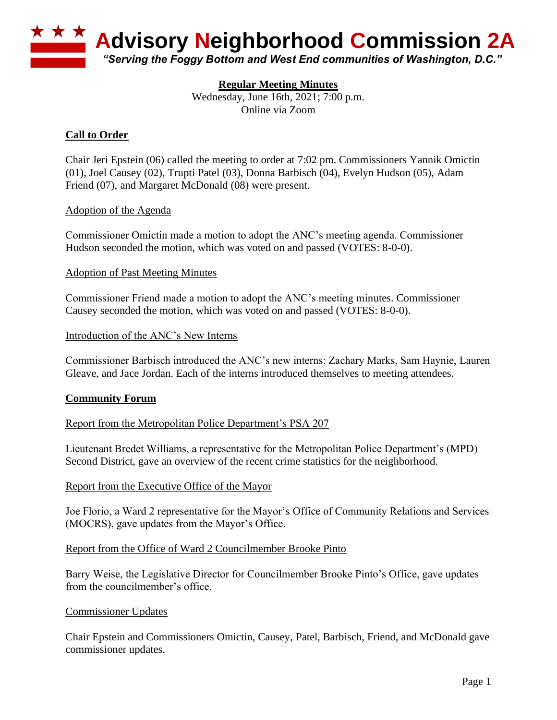

# **Regular Meeting Minutes**

Wednesday, June 16th, 2021; 7:00 p.m. Online via Zoom

# **Call to Order**

Chair Jeri Epstein (06) called the meeting to order at 7:02 pm. Commissioners Yannik Omictin (01), Joel Causey (02), Trupti Patel (03), Donna Barbisch (04), Evelyn Hudson (05), Adam Friend (07), and Margaret McDonald (08) were present.

## Adoption of the Agenda

Commissioner Omictin made a motion to adopt the ANC's meeting agenda. Commissioner Hudson seconded the motion, which was voted on and passed (VOTES: 8-0-0).

#### Adoption of Past Meeting Minutes

Commissioner Friend made a motion to adopt the ANC's meeting minutes. Commissioner Causey seconded the motion, which was voted on and passed (VOTES: 8-0-0).

#### Introduction of the ANC's New Interns

Commissioner Barbisch introduced the ANC's new interns: Zachary Marks, Sam Haynie, Lauren Gleave, and Jace Jordan. Each of the interns introduced themselves to meeting attendees.

#### **Community Forum**

## Report from the Metropolitan Police Department's PSA 207

Lieutenant Bredet Williams, a representative for the Metropolitan Police Department's (MPD) Second District, gave an overview of the recent crime statistics for the neighborhood.

#### Report from the Executive Office of the Mayor

Joe Florio, a Ward 2 representative for the Mayor's Office of Community Relations and Services (MOCRS), gave updates from the Mayor's Office.

#### Report from the Office of Ward 2 Councilmember Brooke Pinto

Barry Weise, the Legislative Director for Councilmember Brooke Pinto's Office, gave updates from the councilmember's office.

#### Commissioner Updates

Chair Epstein and Commissioners Omictin, Causey, Patel, Barbisch, Friend, and McDonald gave commissioner updates.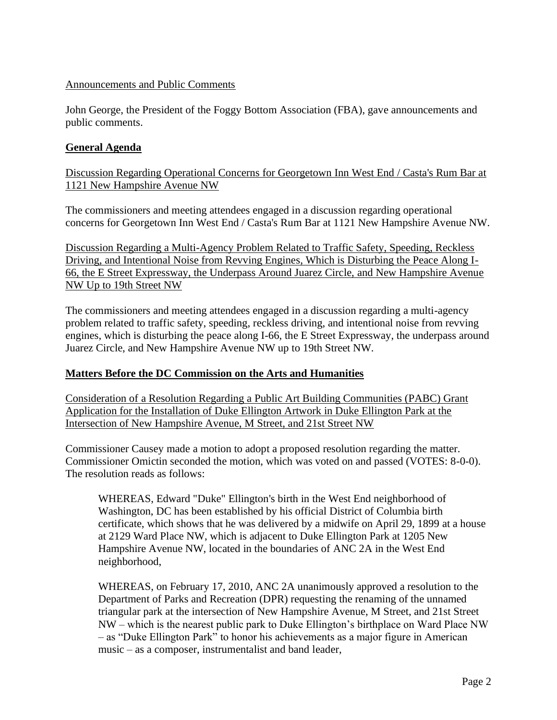# Announcements and Public Comments

John George, the President of the Foggy Bottom Association (FBA), gave announcements and public comments.

# **General Agenda**

Discussion Regarding Operational Concerns for Georgetown Inn West End / Casta's Rum Bar at 1121 New Hampshire Avenue NW

The commissioners and meeting attendees engaged in a discussion regarding operational concerns for Georgetown Inn West End / Casta's Rum Bar at 1121 New Hampshire Avenue NW.

Discussion Regarding a Multi-Agency Problem Related to Traffic Safety, Speeding, Reckless Driving, and Intentional Noise from Revving Engines, Which is Disturbing the Peace Along I-66, the E Street Expressway, the Underpass Around Juarez Circle, and New Hampshire Avenue NW Up to 19th Street NW

The commissioners and meeting attendees engaged in a discussion regarding a multi-agency problem related to traffic safety, speeding, reckless driving, and intentional noise from revving engines, which is disturbing the peace along I-66, the E Street Expressway, the underpass around Juarez Circle, and New Hampshire Avenue NW up to 19th Street NW.

## **Matters Before the DC Commission on the Arts and Humanities**

Consideration of a Resolution Regarding a Public Art Building Communities (PABC) Grant Application for the Installation of Duke Ellington Artwork in Duke Ellington Park at the Intersection of New Hampshire Avenue, M Street, and 21st Street NW

Commissioner Causey made a motion to adopt a proposed resolution regarding the matter. Commissioner Omictin seconded the motion, which was voted on and passed (VOTES: 8-0-0). The resolution reads as follows:

WHEREAS, Edward "Duke" Ellington's birth in the West End neighborhood of Washington, DC has been established by his official District of Columbia birth certificate, which shows that he was delivered by a midwife on April 29, 1899 at a house at 2129 Ward Place NW, which is adjacent to Duke Ellington Park at 1205 New Hampshire Avenue NW, located in the boundaries of ANC 2A in the West End neighborhood,

WHEREAS, on February 17, 2010, ANC 2A unanimously approved a resolution to the Department of Parks and Recreation (DPR) requesting the renaming of the unnamed triangular park at the intersection of New Hampshire Avenue, M Street, and 21st Street NW – which is the nearest public park to Duke Ellington's birthplace on Ward Place NW – as "Duke Ellington Park" to honor his achievements as a major figure in American music – as a composer, instrumentalist and band leader,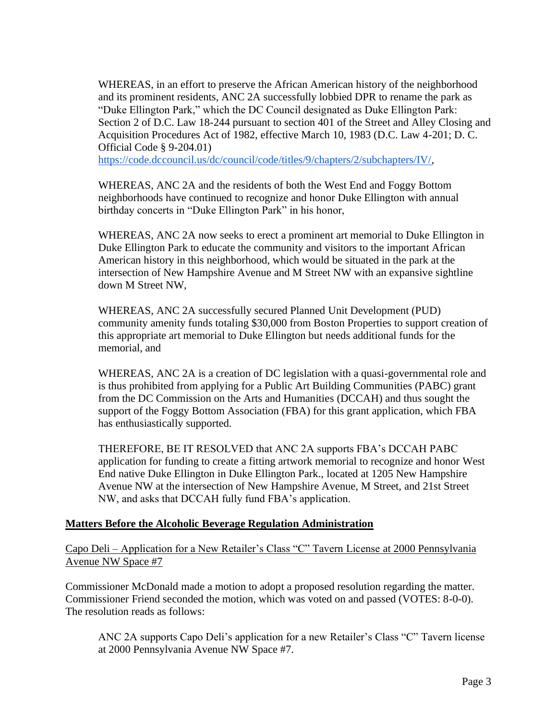WHEREAS, in an effort to preserve the African American history of the neighborhood and its prominent residents, ANC 2A successfully lobbied DPR to rename the park as "Duke Ellington Park," which the DC Council designated as Duke Ellington Park: Section 2 of D.C. Law 18-244 pursuant to section 401 of the Street and Alley Closing and Acquisition Procedures Act of 1982, effective March 10, 1983 (D.C. Law 4-201; D. C. Official Code § 9-204.01)

[https://code.dccouncil.us/dc/council/code/titles/9/chapters/2/subchapters/IV/,](https://code.dccouncil.us/dc/council/code/titles/9/chapters/2/subchapters/IV/)

WHEREAS, ANC 2A and the residents of both the West End and Foggy Bottom neighborhoods have continued to recognize and honor Duke Ellington with annual birthday concerts in "Duke Ellington Park" in his honor,

WHEREAS, ANC 2A now seeks to erect a prominent art memorial to Duke Ellington in Duke Ellington Park to educate the community and visitors to the important African American history in this neighborhood, which would be situated in the park at the intersection of New Hampshire Avenue and M Street NW with an expansive sightline down M Street NW,

WHEREAS, ANC 2A successfully secured Planned Unit Development (PUD) community amenity funds totaling \$30,000 from Boston Properties to support creation of this appropriate art memorial to Duke Ellington but needs additional funds for the memorial, and

WHEREAS, ANC 2A is a creation of DC legislation with a quasi-governmental role and is thus prohibited from applying for a Public Art Building Communities (PABC) grant from the DC Commission on the Arts and Humanities (DCCAH) and thus sought the support of the Foggy Bottom Association (FBA) for this grant application, which FBA has enthusiastically supported.

THEREFORE, BE IT RESOLVED that ANC 2A supports FBA's DCCAH PABC application for funding to create a fitting artwork memorial to recognize and honor West End native Duke Ellington in Duke Ellington Park., located at 1205 New Hampshire Avenue NW at the intersection of New Hampshire Avenue, M Street, and 21st Street NW, and asks that DCCAH fully fund FBA's application.

# **Matters Before the Alcoholic Beverage Regulation Administration**

Capo Deli – Application for a New Retailer's Class "C" Tavern License at 2000 Pennsylvania Avenue NW Space #7

Commissioner McDonald made a motion to adopt a proposed resolution regarding the matter. Commissioner Friend seconded the motion, which was voted on and passed (VOTES: 8-0-0). The resolution reads as follows:

ANC 2A supports Capo Deli's application for a new Retailer's Class "C" Tavern license at 2000 Pennsylvania Avenue NW Space #7.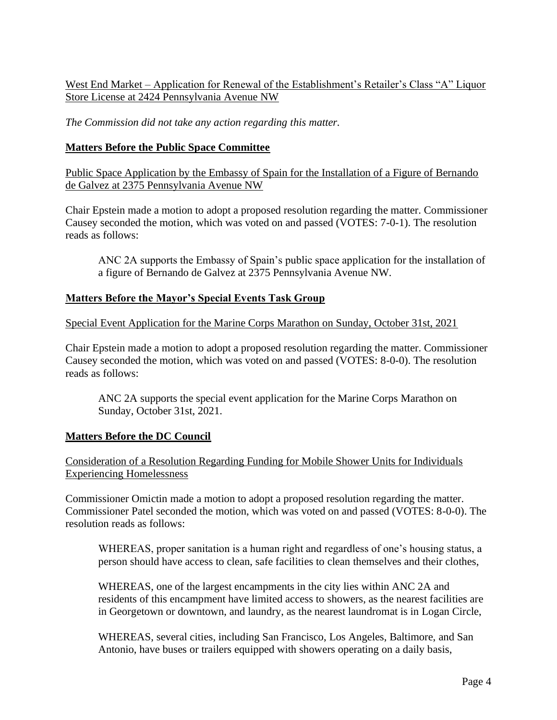# West End Market – Application for Renewal of the Establishment's Retailer's Class "A" Liquor Store License at 2424 Pennsylvania Avenue NW

*The Commission did not take any action regarding this matter.*

# **Matters Before the Public Space Committee**

Public Space Application by the Embassy of Spain for the Installation of a Figure of Bernando de Galvez at 2375 Pennsylvania Avenue NW

Chair Epstein made a motion to adopt a proposed resolution regarding the matter. Commissioner Causey seconded the motion, which was voted on and passed (VOTES: 7-0-1). The resolution reads as follows:

ANC 2A supports the Embassy of Spain's public space application for the installation of a figure of Bernando de Galvez at 2375 Pennsylvania Avenue NW.

# **Matters Before the Mayor's Special Events Task Group**

Special Event Application for the Marine Corps Marathon on Sunday, October 31st, 2021

Chair Epstein made a motion to adopt a proposed resolution regarding the matter. Commissioner Causey seconded the motion, which was voted on and passed (VOTES: 8-0-0). The resolution reads as follows:

ANC 2A supports the special event application for the Marine Corps Marathon on Sunday, October 31st, 2021.

# **Matters Before the DC Council**

Consideration of a Resolution Regarding Funding for Mobile Shower Units for Individuals Experiencing Homelessness

Commissioner Omictin made a motion to adopt a proposed resolution regarding the matter. Commissioner Patel seconded the motion, which was voted on and passed (VOTES: 8-0-0). The resolution reads as follows:

WHEREAS, proper sanitation is a human right and regardless of one's housing status, a person should have access to clean, safe facilities to clean themselves and their clothes,

WHEREAS, one of the largest encampments in the city lies within ANC 2A and residents of this encampment have limited access to showers, as the nearest facilities are in Georgetown or downtown, and laundry, as the nearest laundromat is in Logan Circle,

WHEREAS, several cities, including San Francisco, Los Angeles, Baltimore, and San Antonio, have buses or trailers equipped with showers operating on a daily basis,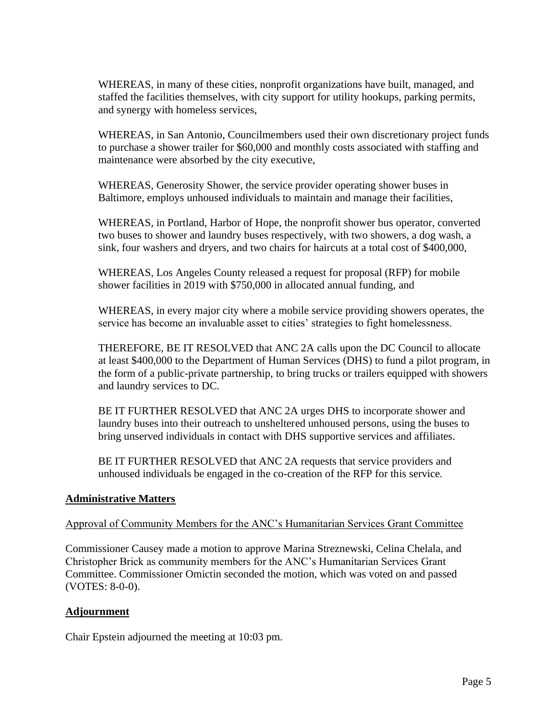WHEREAS, in many of these cities, nonprofit organizations have built, managed, and staffed the facilities themselves, with city support for utility hookups, parking permits, and synergy with homeless services,

WHEREAS, in San Antonio, Councilmembers used their own discretionary project funds to purchase a shower trailer for \$60,000 and monthly costs associated with staffing and maintenance were absorbed by the city executive,

WHEREAS, Generosity Shower, the service provider operating shower buses in Baltimore, employs unhoused individuals to maintain and manage their facilities,

WHEREAS, in Portland, Harbor of Hope, the nonprofit shower bus operator, converted two buses to shower and laundry buses respectively, with two showers, a dog wash, a sink, four washers and dryers, and two chairs for haircuts at a total cost of \$400,000,

WHEREAS, Los Angeles County released a request for proposal (RFP) for mobile shower facilities in 2019 with \$750,000 in allocated annual funding, and

WHEREAS, in every major city where a mobile service providing showers operates, the service has become an invaluable asset to cities' strategies to fight homelessness.

THEREFORE, BE IT RESOLVED that ANC 2A calls upon the DC Council to allocate at least \$400,000 to the Department of Human Services (DHS) to fund a pilot program, in the form of a public-private partnership, to bring trucks or trailers equipped with showers and laundry services to DC.

BE IT FURTHER RESOLVED that ANC 2A urges DHS to incorporate shower and laundry buses into their outreach to unsheltered unhoused persons, using the buses to bring unserved individuals in contact with DHS supportive services and affiliates.

BE IT FURTHER RESOLVED that ANC 2A requests that service providers and unhoused individuals be engaged in the co-creation of the RFP for this service.

## **Administrative Matters**

## Approval of Community Members for the ANC's Humanitarian Services Grant Committee

Commissioner Causey made a motion to approve Marina Streznewski, Celina Chelala, and Christopher Brick as community members for the ANC's Humanitarian Services Grant Committee. Commissioner Omictin seconded the motion, which was voted on and passed (VOTES: 8-0-0).

## **Adjournment**

Chair Epstein adjourned the meeting at 10:03 pm.